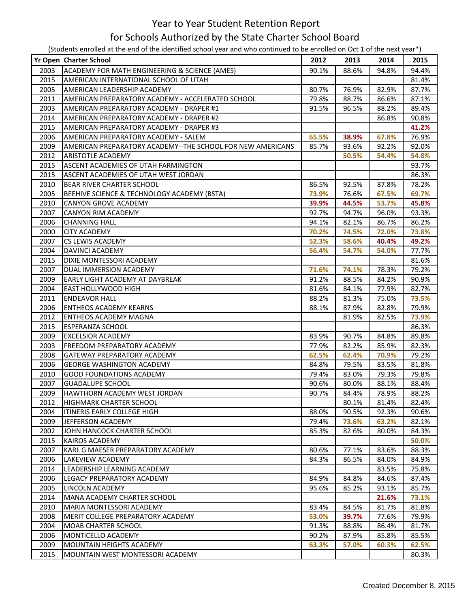## Year to Year Student Retention Report

## for Schools Authorized by the State Charter School Board

(Students enrolled at the end of the identified school year and who continued to be enrolled on Oct 1 of the next year\*)

| 2003<br>ACADEMY FOR MATH ENGINEERING & SCIENCE (AMES)<br>90.1%<br>88.6%<br>2015<br>AMERICAN INTERNATIONAL SCHOOL OF UTAH<br>2005<br>AMERICAN LEADERSHIP ACADEMY<br>80.7%<br>76.9% | 94.8% | 94.4% |
|-----------------------------------------------------------------------------------------------------------------------------------------------------------------------------------|-------|-------|
|                                                                                                                                                                                   |       |       |
|                                                                                                                                                                                   |       | 81.4% |
|                                                                                                                                                                                   | 82.9% | 87.7% |
| 2011<br>AMERICAN PREPARATORY ACADEMY - ACCELERATED SCHOOL<br>79.8%<br>88.7%                                                                                                       | 86.6% | 87.1% |
| 2003<br>AMERICAN PREPARATORY ACADEMY - DRAPER #1<br>91.5%<br>96.5%                                                                                                                | 88.2% | 89.4% |
| 2014<br>AMERICAN PREPARATORY ACADEMY - DRAPER #2                                                                                                                                  | 86.8% | 90.8% |
| 2015<br>AMERICAN PREPARATORY ACADEMY - DRAPER #3                                                                                                                                  |       | 41.2% |
| 2006<br>AMERICAN PREPARATORY ACADEMY - SALEM<br>65.5%<br>38.9%                                                                                                                    | 67.8% | 76.9% |
| 2009<br>AMERICAN PREPARATORY ACADEMY--THE SCHOOL FOR NEW AMERICANS<br>85.7%<br>93.6%                                                                                              | 92.2% | 92.0% |
| 2012<br><b>ARISTOTLE ACADEMY</b><br>50.5%                                                                                                                                         | 54.4% | 54.8% |
| 2015<br>ASCENT ACADEMIES OF UTAH FARMINGTON                                                                                                                                       |       | 93.7% |
| 2015<br>ASCENT ACADEMIES OF UTAH WEST JORDAN                                                                                                                                      |       | 86.3% |
| 2010<br>BEAR RIVER CHARTER SCHOOL<br>86.5%<br>92.5%                                                                                                                               | 87.8% | 78.2% |
| 2005<br>BEEHIVE SCIENCE & TECHNOLOGY ACADEMY (BSTA)<br>73.9%<br>76.6%                                                                                                             | 67.5% | 69.7% |
| 2010<br><b>CANYON GROVE ACADEMY</b><br>39.9%<br>44.5%                                                                                                                             | 53.7% | 45.8% |
| 2007<br><b>CANYON RIM ACADEMY</b><br>92.7%<br>94.7%                                                                                                                               | 96.0% | 93.3% |
| 2006<br>82.1%<br><b>CHANNING HALL</b><br>94.1%                                                                                                                                    | 86.7% | 86.2% |
| 2000<br><b>CITY ACADEMY</b><br>70.2%<br>74.5%                                                                                                                                     | 72.0% | 73.8% |
| 2007<br><b>CS LEWIS ACADEMY</b><br>58.6%<br>52.3%                                                                                                                                 | 40.4% | 49.2% |
| 2004<br><b>DAVINCI ACADEMY</b><br>56.4%<br>54.7%                                                                                                                                  | 54.0% | 77.7% |
| 2015<br>DIXIE MONTESSORI ACADEMY                                                                                                                                                  |       | 81.6% |
| 2007<br>74.1%<br>DUAL IMMERSION ACADEMY<br>71.6%                                                                                                                                  | 78.3% | 79.2% |
| 2009<br>91.2%<br>88.5%<br><b>EARLY LIGHT ACADEMY AT DAYBREAK</b>                                                                                                                  | 84.2% | 90.9% |
| 2004<br>84.1%<br><b>EAST HOLLYWOOD HIGH</b><br>81.6%                                                                                                                              | 77.9% | 82.7% |
| 2011<br><b>ENDEAVOR HALL</b><br>88.2%<br>81.3%                                                                                                                                    | 75.0% | 73.5% |
| 2006<br>87.9%<br><b>ENTHEOS ACADEMY KEARNS</b><br>88.1%                                                                                                                           | 82.8% | 79.9% |
| 2012<br><b>ENTHEOS ACADEMY MAGNA</b><br>81.9%                                                                                                                                     | 82.5% | 73.9% |
| 2015<br><b>ESPERANZA SCHOOL</b>                                                                                                                                                   |       | 86.3% |
| 2009<br>83.9%<br>90.7%<br><b>EXCELSIOR ACADEMY</b>                                                                                                                                | 84.8% | 89.8% |
| 2003<br><b>FREEDOM PREPARATORY ACADEMY</b><br>77.9%<br>82.2%                                                                                                                      | 85.9% | 82.3% |
| 2008<br><b>GATEWAY PREPARATORY ACADEMY</b><br>62.5%<br>62.4%                                                                                                                      | 70.9% | 79.2% |
| 2006<br>79.5%<br><b>GEORGE WASHINGTON ACADEMY</b><br>84.8%                                                                                                                        | 83.5% | 81.8% |
| 2010<br>83.0%<br><b>GOOD FOUNDATIONS ACADEMY</b><br>79.4%                                                                                                                         | 79.3% | 79.8% |
| 2007<br><b>GUADALUPE SCHOOL</b><br>90.6%<br>80.0%                                                                                                                                 | 88.1% | 88.4% |
| 2009<br>90.7%<br>84.4%<br><b>HAWTHORN ACADEMY WEST JORDAN</b>                                                                                                                     | 78.9% | 88.2% |
| 2012<br>80.1%<br><b>HIGHMARK CHARTER SCHOOL</b>                                                                                                                                   | 81.4% | 82.4% |
| 88.0%<br>2004<br><b>ITINERIS EARLY COLLEGE HIGH</b><br>90.5%                                                                                                                      | 92.3% | 90.6% |
| 2009<br>JEFFERSON ACADEMY<br>79.4%<br>73.6%                                                                                                                                       | 63.2% | 82.1% |
| 2002<br>85.3%<br>JOHN HANCOCK CHARTER SCHOOL<br>82.6%                                                                                                                             | 80.0% | 84.3% |
| 2015<br><b>KAIROS ACADEMY</b>                                                                                                                                                     |       | 50.0% |
| 2007<br>KARL G MAESER PREPARATORY ACADEMY<br>80.6%<br>77.1%                                                                                                                       | 83.6% | 88.3% |
| 2006<br>LAKEVIEW ACADEMY<br>84.3%<br>86.5%                                                                                                                                        | 84.0% | 84.9% |
| 2014<br>LEADERSHIP LEARNING ACADEMY                                                                                                                                               | 83.5% | 75.8% |
| 2006<br>84.8%<br>LEGACY PREPARATORY ACADEMY<br>84.9%                                                                                                                              | 84.6% | 87.4% |
| 2005<br>95.6%<br>85.2%<br>LINCOLN ACADEMY                                                                                                                                         | 93.1% | 85.7% |
| 2014<br><b>MANA ACADEMY CHARTER SCHOOL</b>                                                                                                                                        | 21.6% | 73.1% |
| 2010<br><b>MARIA MONTESSORI ACADEMY</b><br>83.4%<br>84.5%                                                                                                                         | 81.7% | 81.8% |
| 2008<br>39.7%<br><b>MERIT COLLEGE PREPARATORY ACADEMY</b><br>53.0%                                                                                                                | 77.6% | 79.9% |
| 2004<br><b>MOAB CHARTER SCHOOL</b><br>91.3%<br>88.8%                                                                                                                              | 86.4% | 81.7% |
| 2006<br>MONTICELLO ACADEMY<br>90.2%<br>87.9%                                                                                                                                      | 85.8% | 85.5% |
| 2009<br><b>MOUNTAIN HEIGHTS ACADEMY</b><br>63.3%<br>57.0%                                                                                                                         | 60.3% | 62.5% |
| 2015<br>MOUNTAIN WEST MONTESSORI ACADEMY                                                                                                                                          |       | 80.3% |